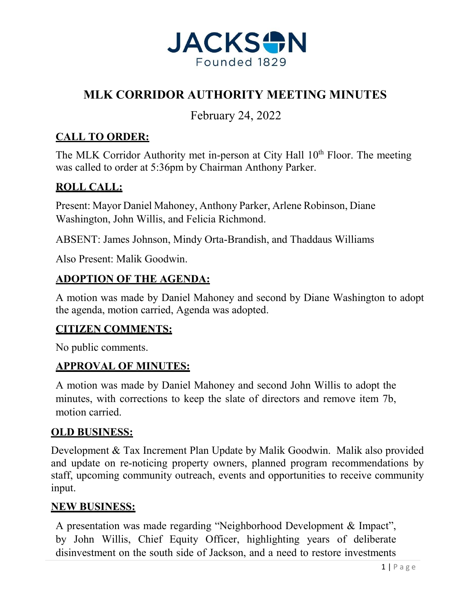

# **MLK CORRIDOR AUTHORITY MEETING MINUTES**

February 24, 2022

## **CALL TO ORDER:**

The MLK Corridor Authority met in-person at City Hall  $10<sup>th</sup>$  Floor. The meeting was called to order at 5:36pm by Chairman Anthony Parker.

## **ROLL CALL:**

Present: Mayor Daniel Mahoney, Anthony Parker, Arlene Robinson, Diane Washington, John Willis, and Felicia Richmond.

ABSENT: James Johnson, Mindy Orta-Brandish, and Thaddaus Williams

Also Present: Malik Goodwin.

#### **ADOPTION OF THE AGENDA:**

A motion was made by Daniel Mahoney and second by Diane Washington to adopt the agenda, motion carried, Agenda was adopted.

#### **CITIZEN COMMENTS:**

No public comments.

#### **APPROVAL OF MINUTES:**

A motion was made by Daniel Mahoney and second John Willis to adopt the minutes, with corrections to keep the slate of directors and remove item 7b, motion carried.

#### **OLD BUSINESS:**

Development & Tax Increment Plan Update by Malik Goodwin. Malik also provided and update on re-noticing property owners, planned program recommendations by staff, upcoming community outreach, events and opportunities to receive community input.

#### **NEW BUSINESS:**

A presentation was made regarding "Neighborhood Development & Impact", by John Willis, Chief Equity Officer, highlighting years of deliberate disinvestment on the south side of Jackson, and a need to restore investments